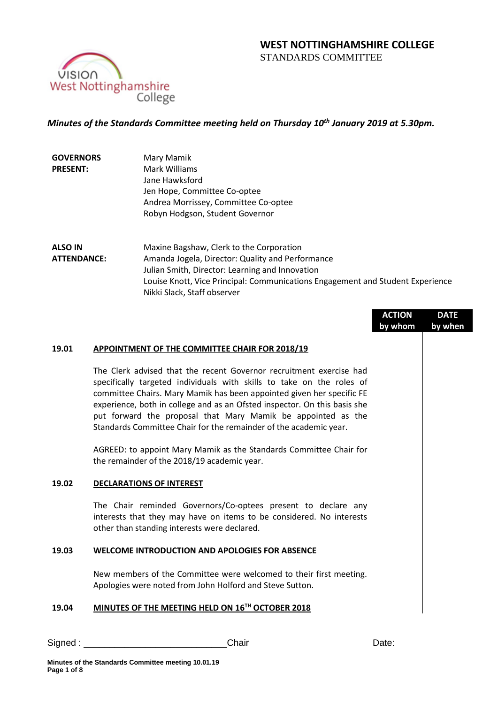

# *Minutes of the Standards Committee meeting held on Thursday 10 th January 2019 at 5.30pm.*

| <b>GOVERNORS</b> | Mary Mamik                           |
|------------------|--------------------------------------|
| <b>PRESENT:</b>  | Mark Williams                        |
|                  | Jane Hawksford                       |
|                  | Jen Hope, Committee Co-optee         |
|                  | Andrea Morrissey, Committee Co-optee |
|                  | Robyn Hodgson, Student Governor      |
|                  |                                      |

**ALSO IN ATTENDANCE:** Maxine Bagshaw, Clerk to the Corporation Amanda Jogela, Director: Quality and Performance Julian Smith, Director: Learning and Innovation Louise Knott, Vice Principal: Communications Engagement and Student Experience Nikki Slack, Staff observer

|       |                                                                                                                                                                                                                                                                                                                                                                                                                                         | <b>ACTION</b><br>by whom | <b>DATE</b><br>by when |
|-------|-----------------------------------------------------------------------------------------------------------------------------------------------------------------------------------------------------------------------------------------------------------------------------------------------------------------------------------------------------------------------------------------------------------------------------------------|--------------------------|------------------------|
| 19.01 | APPOINTMENT OF THE COMMITTEE CHAIR FOR 2018/19                                                                                                                                                                                                                                                                                                                                                                                          |                          |                        |
|       | The Clerk advised that the recent Governor recruitment exercise had<br>specifically targeted individuals with skills to take on the roles of<br>committee Chairs. Mary Mamik has been appointed given her specific FE<br>experience, both in college and as an Ofsted inspector. On this basis she<br>put forward the proposal that Mary Mamik be appointed as the<br>Standards Committee Chair for the remainder of the academic year. |                          |                        |
|       | AGREED: to appoint Mary Mamik as the Standards Committee Chair for<br>the remainder of the 2018/19 academic year.                                                                                                                                                                                                                                                                                                                       |                          |                        |
| 19.02 | <b>DECLARATIONS OF INTEREST</b>                                                                                                                                                                                                                                                                                                                                                                                                         |                          |                        |
|       | The Chair reminded Governors/Co-optees present to declare any<br>interests that they may have on items to be considered. No interests<br>other than standing interests were declared.                                                                                                                                                                                                                                                   |                          |                        |
| 19.03 | <b>WELCOME INTRODUCTION AND APOLOGIES FOR ABSENCE</b>                                                                                                                                                                                                                                                                                                                                                                                   |                          |                        |
|       | New members of the Committee were welcomed to their first meeting.<br>Apologies were noted from John Holford and Steve Sutton.                                                                                                                                                                                                                                                                                                          |                          |                        |
| 19.04 | MINUTES OF THE MEETING HELD ON 16TH OCTOBER 2018                                                                                                                                                                                                                                                                                                                                                                                        |                          |                        |

Signed : \_\_\_\_\_\_\_\_\_\_\_\_\_\_\_\_\_\_\_\_\_\_\_\_\_\_\_\_Chair Date: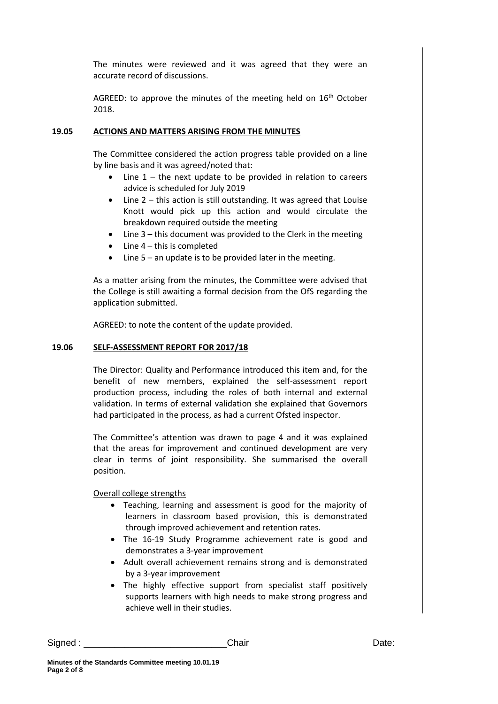The minutes were reviewed and it was agreed that they were an accurate record of discussions.

AGREED: to approve the minutes of the meeting held on 16<sup>th</sup> October 2018.

### **19.05 ACTIONS AND MATTERS ARISING FROM THE MINUTES**

The Committee considered the action progress table provided on a line by line basis and it was agreed/noted that:

- Line  $1$  the next update to be provided in relation to careers advice is scheduled for July 2019
- Line 2 this action is still outstanding. It was agreed that Louise Knott would pick up this action and would circulate the breakdown required outside the meeting
- $\bullet$  Line 3 this document was provided to the Clerk in the meeting
- Line 4 this is completed
- Line 5 an update is to be provided later in the meeting.

As a matter arising from the minutes, the Committee were advised that the College is still awaiting a formal decision from the OfS regarding the application submitted.

AGREED: to note the content of the update provided.

### **19.06 SELF-ASSESSMENT REPORT FOR 2017/18**

The Director: Quality and Performance introduced this item and, for the benefit of new members, explained the self-assessment report production process, including the roles of both internal and external validation. In terms of external validation she explained that Governors had participated in the process, as had a current Ofsted inspector.

The Committee's attention was drawn to page 4 and it was explained that the areas for improvement and continued development are very clear in terms of joint responsibility. She summarised the overall position.

Overall college strengths

- Teaching, learning and assessment is good for the majority of learners in classroom based provision, this is demonstrated through improved achievement and retention rates.
- The 16-19 Study Programme achievement rate is good and demonstrates a 3-year improvement
- Adult overall achievement remains strong and is demonstrated by a 3-year improvement
- The highly effective support from specialist staff positively supports learners with high needs to make strong progress and achieve well in their studies.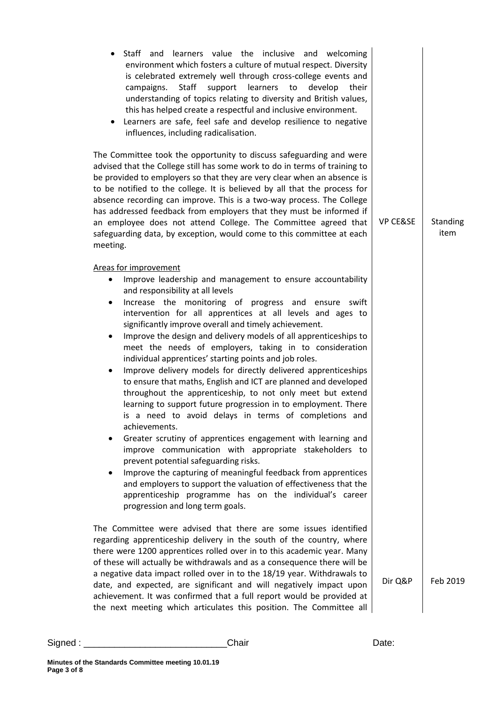| Staff and learners value the inclusive and welcoming<br>environment which fosters a culture of mutual respect. Diversity<br>is celebrated extremely well through cross-college events and<br>Staff<br>learners<br>campaigns.<br>support<br>to<br>develop<br>their<br>understanding of topics relating to diversity and British values,<br>this has helped create a respectful and inclusive environment.<br>Learners are safe, feel safe and develop resilience to negative<br>٠<br>influences, including radicalisation.<br>The Committee took the opportunity to discuss safeguarding and were<br>advised that the College still has some work to do in terms of training to<br>be provided to employers so that they are very clear when an absence is<br>to be notified to the college. It is believed by all that the process for<br>absence recording can improve. This is a two-way process. The College<br>has addressed feedback from employers that they must be informed if<br>an employee does not attend College. The Committee agreed that<br>safeguarding data, by exception, would come to this committee at each<br>meeting.                                                                                                                             | <b>VP CE&amp;SE</b> | Standing<br>item |
|---------------------------------------------------------------------------------------------------------------------------------------------------------------------------------------------------------------------------------------------------------------------------------------------------------------------------------------------------------------------------------------------------------------------------------------------------------------------------------------------------------------------------------------------------------------------------------------------------------------------------------------------------------------------------------------------------------------------------------------------------------------------------------------------------------------------------------------------------------------------------------------------------------------------------------------------------------------------------------------------------------------------------------------------------------------------------------------------------------------------------------------------------------------------------------------------------------------------------------------------------------------------------|---------------------|------------------|
| Areas for improvement<br>Improve leadership and management to ensure accountability<br>٠<br>and responsibility at all levels<br>Increase the monitoring of progress and ensure swift<br>٠<br>intervention for all apprentices at all levels and ages to<br>significantly improve overall and timely achievement.<br>Improve the design and delivery models of all apprenticeships to<br>٠<br>meet the needs of employers, taking in to consideration<br>individual apprentices' starting points and job roles.<br>Improve delivery models for directly delivered apprenticeships<br>٠<br>to ensure that maths, English and ICT are planned and developed<br>throughout the apprenticeship, to not only meet but extend<br>learning to support future progression in to employment. There<br>is a need to avoid delays in terms of completions and<br>achievements.<br>Greater scrutiny of apprentices engagement with learning and<br>improve communication with appropriate stakeholders to<br>prevent potential safeguarding risks.<br>Improve the capturing of meaningful feedback from apprentices<br>and employers to support the valuation of effectiveness that the<br>apprenticeship programme has on the individual's career<br>progression and long term goals. |                     |                  |
| The Committee were advised that there are some issues identified<br>regarding apprenticeship delivery in the south of the country, where<br>there were 1200 apprentices rolled over in to this academic year. Many<br>of these will actually be withdrawals and as a consequence there will be<br>a negative data impact rolled over in to the 18/19 year. Withdrawals to<br>date, and expected, are significant and will negatively impact upon<br>achievement. It was confirmed that a full report would be provided at<br>the next meeting which articulates this position. The Committee all                                                                                                                                                                                                                                                                                                                                                                                                                                                                                                                                                                                                                                                                          | Dir Q&P             | Feb 2019         |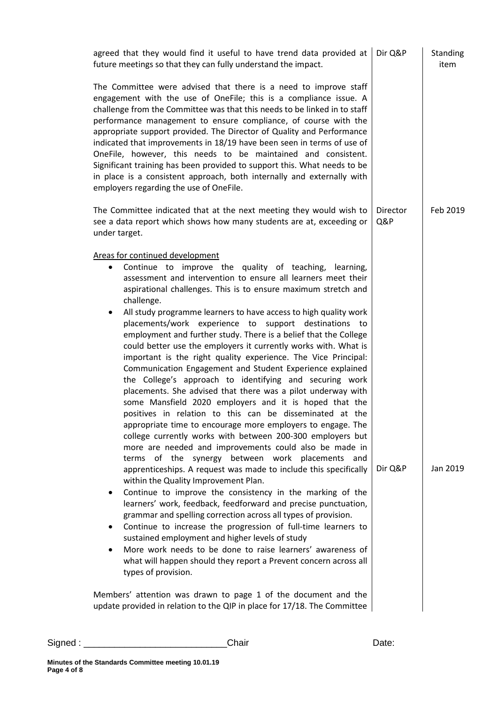|                     | agreed that they would find it useful to have trend data provided at<br>future meetings so that they can fully understand the impact.                                                                                                                                                                                                                                                                                                                                                                                                                                                                                                                                                                                                                                                                                                                                                                                                                                                                                                                                                                                                                                                                                                                                                                                                                                                                                                                                                                                                                                                                                                                                                                                               | Dir Q&P         | Standing<br>item |
|---------------------|-------------------------------------------------------------------------------------------------------------------------------------------------------------------------------------------------------------------------------------------------------------------------------------------------------------------------------------------------------------------------------------------------------------------------------------------------------------------------------------------------------------------------------------------------------------------------------------------------------------------------------------------------------------------------------------------------------------------------------------------------------------------------------------------------------------------------------------------------------------------------------------------------------------------------------------------------------------------------------------------------------------------------------------------------------------------------------------------------------------------------------------------------------------------------------------------------------------------------------------------------------------------------------------------------------------------------------------------------------------------------------------------------------------------------------------------------------------------------------------------------------------------------------------------------------------------------------------------------------------------------------------------------------------------------------------------------------------------------------------|-----------------|------------------|
|                     | The Committee were advised that there is a need to improve staff<br>engagement with the use of OneFile; this is a compliance issue. A<br>challenge from the Committee was that this needs to be linked in to staff<br>performance management to ensure compliance, of course with the<br>appropriate support provided. The Director of Quality and Performance<br>indicated that improvements in 18/19 have been seen in terms of use of<br>OneFile, however, this needs to be maintained and consistent.<br>Significant training has been provided to support this. What needs to be<br>in place is a consistent approach, both internally and externally with<br>employers regarding the use of OneFile.                                                                                                                                                                                                                                                                                                                                                                                                                                                                                                                                                                                                                                                                                                                                                                                                                                                                                                                                                                                                                          |                 |                  |
| under target.       | The Committee indicated that at the next meeting they would wish to<br>see a data report which shows how many students are at, exceeding or                                                                                                                                                                                                                                                                                                                                                                                                                                                                                                                                                                                                                                                                                                                                                                                                                                                                                                                                                                                                                                                                                                                                                                                                                                                                                                                                                                                                                                                                                                                                                                                         | Director<br>Q&P | Feb 2019         |
| ٠<br>٠<br>$\bullet$ | Areas for continued development<br>Continue to improve the quality of teaching, learning,<br>assessment and intervention to ensure all learners meet their<br>aspirational challenges. This is to ensure maximum stretch and<br>challenge.<br>All study programme learners to have access to high quality work<br>placements/work experience to support destinations to<br>employment and further study. There is a belief that the College<br>could better use the employers it currently works with. What is<br>important is the right quality experience. The Vice Principal:<br>Communication Engagement and Student Experience explained<br>the College's approach to identifying and securing work<br>placements. She advised that there was a pilot underway with<br>some Mansfield 2020 employers and it is hoped that the<br>positives in relation to this can be disseminated at the<br>appropriate time to encourage more employers to engage. The<br>college currently works with between 200-300 employers but<br>more are needed and improvements could also be made in<br>terms of the synergy between work placements and<br>apprenticeships. A request was made to include this specifically<br>within the Quality Improvement Plan.<br>Continue to improve the consistency in the marking of the<br>learners' work, feedback, feedforward and precise punctuation,<br>grammar and spelling correction across all types of provision.<br>Continue to increase the progression of full-time learners to<br>sustained employment and higher levels of study<br>More work needs to be done to raise learners' awareness of<br>what will happen should they report a Prevent concern across all<br>types of provision. | Dir Q&P         | Jan 2019         |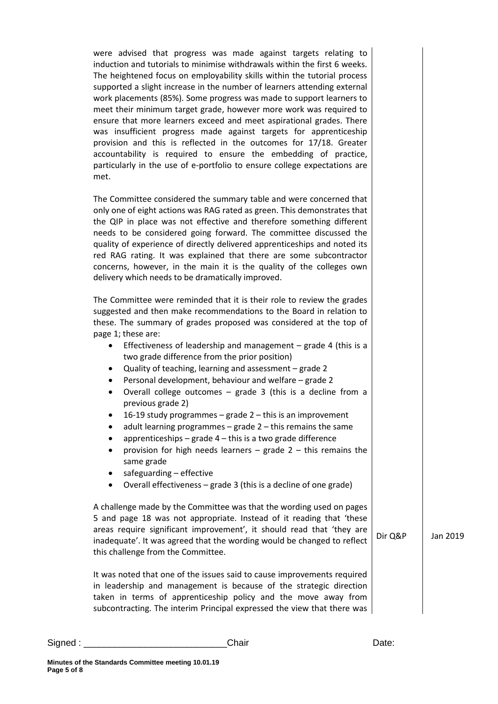were advised that progress was made against targets relating to induction and tutorials to minimise withdrawals within the first 6 weeks. The heightened focus on employability skills within the tutorial process supported a slight increase in the number of learners attending external work placements (85%). Some progress was made to support learners to meet their minimum target grade, however more work was required to ensure that more learners exceed and meet aspirational grades. There was insufficient progress made against targets for apprenticeship provision and this is reflected in the outcomes for 17/18. Greater accountability is required to ensure the embedding of practice, particularly in the use of e-portfolio to ensure college expectations are met.

The Committee considered the summary table and were concerned that only one of eight actions was RAG rated as green. This demonstrates that the QIP in place was not effective and therefore something different needs to be considered going forward. The committee discussed the quality of experience of directly delivered apprenticeships and noted its red RAG rating. It was explained that there are some subcontractor concerns, however, in the main it is the quality of the colleges own delivery which needs to be dramatically improved.

The Committee were reminded that it is their role to review the grades suggested and then make recommendations to the Board in relation to these. The summary of grades proposed was considered at the top of page 1; these are:

- Effectiveness of leadership and management grade 4 (this is a two grade difference from the prior position)
- Quality of teaching, learning and assessment grade 2
- Personal development, behaviour and welfare grade 2
- Overall college outcomes grade 3 (this is a decline from a previous grade 2)
- 16-19 study programmes grade 2 this is an improvement
- adult learning programmes grade 2 this remains the same
- apprenticeships grade  $4$  this is a two grade difference
- provision for high needs learners  $-$  grade  $2 -$  this remains the same grade
- safeguarding effective
- Overall effectiveness grade 3 (this is a decline of one grade)

A challenge made by the Committee was that the wording used on pages 5 and page 18 was not appropriate. Instead of it reading that 'these areas require significant improvement', it should read that 'they are inadequate'. It was agreed that the wording would be changed to reflect this challenge from the Committee.

Dir Q&P Jan 2019

It was noted that one of the issues said to cause improvements required in leadership and management is because of the strategic direction taken in terms of apprenticeship policy and the move away from subcontracting. The interim Principal expressed the view that there was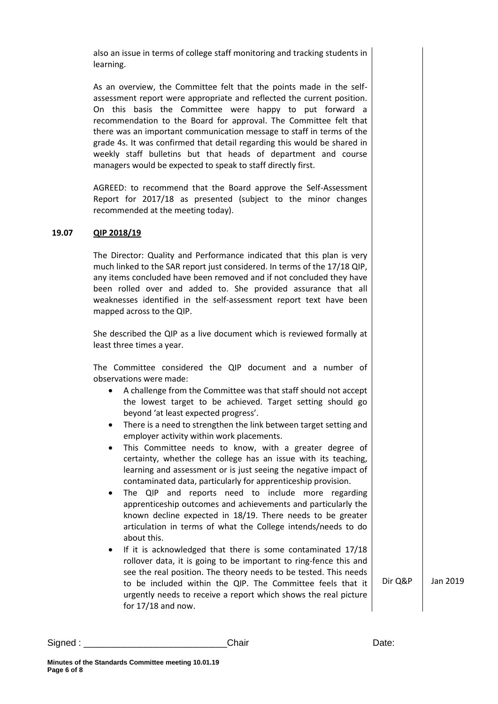also an issue in terms of college staff monitoring and tracking students in learning.

As an overview, the Committee felt that the points made in the selfassessment report were appropriate and reflected the current position. On this basis the Committee were happy to put forward a recommendation to the Board for approval. The Committee felt that there was an important communication message to staff in terms of the grade 4s. It was confirmed that detail regarding this would be shared in weekly staff bulletins but that heads of department and course managers would be expected to speak to staff directly first.

AGREED: to recommend that the Board approve the Self-Assessment Report for 2017/18 as presented (subject to the minor changes recommended at the meeting today).

#### **19.07 QIP 2018/19**

The Director: Quality and Performance indicated that this plan is very much linked to the SAR report just considered. In terms of the 17/18 QIP, any items concluded have been removed and if not concluded they have been rolled over and added to. She provided assurance that all weaknesses identified in the self-assessment report text have been mapped across to the QIP.

She described the QIP as a live document which is reviewed formally at least three times a year.

The Committee considered the QIP document and a number of observations were made:

- A challenge from the Committee was that staff should not accept the lowest target to be achieved. Target setting should go beyond 'at least expected progress'.
- There is a need to strengthen the link between target setting and employer activity within work placements.
- This Committee needs to know, with a greater degree of certainty, whether the college has an issue with its teaching, learning and assessment or is just seeing the negative impact of contaminated data, particularly for apprenticeship provision.
- The QIP and reports need to include more regarding apprenticeship outcomes and achievements and particularly the known decline expected in 18/19. There needs to be greater articulation in terms of what the College intends/needs to do about this.
- If it is acknowledged that there is some contaminated 17/18 rollover data, it is going to be important to ring-fence this and see the real position. The theory needs to be tested. This needs to be included within the QIP. The Committee feels that it urgently needs to receive a report which shows the real picture for 17/18 and now.

Dir Q&P Jan 2019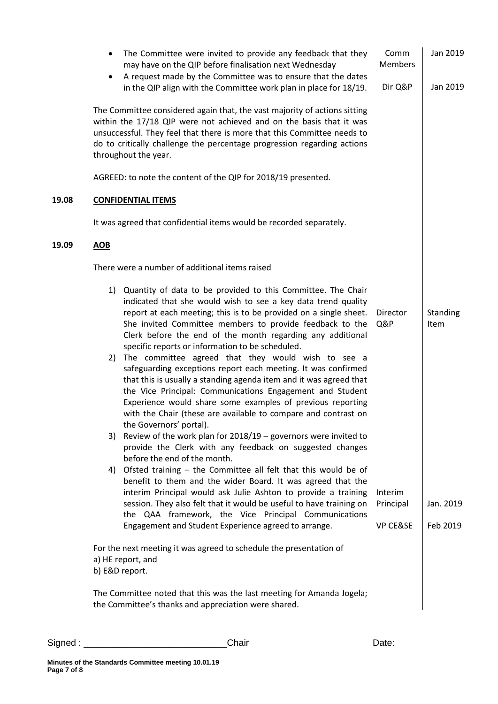|       | The Committee were invited to provide any feedback that they<br>$\bullet$<br>may have on the QIP before finalisation next Wednesday<br>A request made by the Committee was to ensure that the dates                                                                                                                                                                                                                     | Comm<br><b>Members</b> | Jan 2019         |
|-------|-------------------------------------------------------------------------------------------------------------------------------------------------------------------------------------------------------------------------------------------------------------------------------------------------------------------------------------------------------------------------------------------------------------------------|------------------------|------------------|
|       | in the QIP align with the Committee work plan in place for 18/19.<br>The Committee considered again that, the vast majority of actions sitting                                                                                                                                                                                                                                                                          | Dir Q&P                | Jan 2019         |
|       | within the 17/18 QIP were not achieved and on the basis that it was<br>unsuccessful. They feel that there is more that this Committee needs to<br>do to critically challenge the percentage progression regarding actions<br>throughout the year.                                                                                                                                                                       |                        |                  |
|       | AGREED: to note the content of the QIP for 2018/19 presented.                                                                                                                                                                                                                                                                                                                                                           |                        |                  |
| 19.08 | <b>CONFIDENTIAL ITEMS</b>                                                                                                                                                                                                                                                                                                                                                                                               |                        |                  |
|       | It was agreed that confidential items would be recorded separately.                                                                                                                                                                                                                                                                                                                                                     |                        |                  |
| 19.09 | <b>AOB</b>                                                                                                                                                                                                                                                                                                                                                                                                              |                        |                  |
|       | There were a number of additional items raised                                                                                                                                                                                                                                                                                                                                                                          |                        |                  |
|       | 1) Quantity of data to be provided to this Committee. The Chair<br>indicated that she would wish to see a key data trend quality<br>report at each meeting; this is to be provided on a single sheet.<br>She invited Committee members to provide feedback to the<br>Clerk before the end of the month regarding any additional<br>specific reports or information to be scheduled.                                     | Director<br>Q&P        | Standing<br>Item |
|       | The committee agreed that they would wish to see a<br>2)<br>safeguarding exceptions report each meeting. It was confirmed<br>that this is usually a standing agenda item and it was agreed that<br>the Vice Principal: Communications Engagement and Student<br>Experience would share some examples of previous reporting<br>with the Chair (these are available to compare and contrast on<br>the Governors' portal). |                        |                  |
|       | Review of the work plan for $2018/19$ – governors were invited to<br>3)<br>provide the Clerk with any feedback on suggested changes<br>before the end of the month.                                                                                                                                                                                                                                                     |                        |                  |
|       | 4) Ofsted training - the Committee all felt that this would be of<br>benefit to them and the wider Board. It was agreed that the<br>interim Principal would ask Julie Ashton to provide a training<br>session. They also felt that it would be useful to have training on<br>the QAA framework, the Vice Principal Communications                                                                                       | Interim<br>Principal   | Jan. 2019        |
|       | Engagement and Student Experience agreed to arrange.                                                                                                                                                                                                                                                                                                                                                                    | <b>VP CE&amp;SE</b>    | Feb 2019         |
|       | For the next meeting it was agreed to schedule the presentation of<br>a) HE report, and<br>b) E&D report.                                                                                                                                                                                                                                                                                                               |                        |                  |
|       | The Committee noted that this was the last meeting for Amanda Jogela;<br>the Committee's thanks and appreciation were shared.                                                                                                                                                                                                                                                                                           |                        |                  |